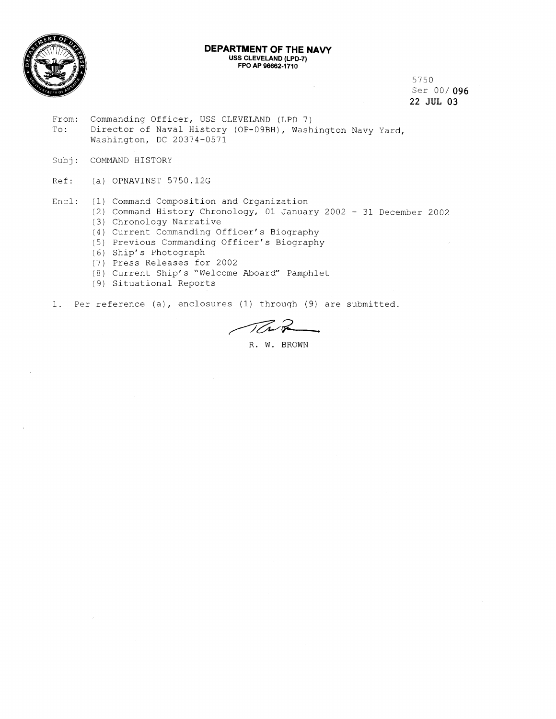

#### **DEPARTMENT OF THE NAVY USS CLEVELAND (LPD-7) FPO AP 96662-1710**

5750 Ser 00/ **096**  22 JUL **03** 

- From: Commanding Officer, USS CLEVELAND (LPD 7)<br>To: Director of Naval History (OP-09BH), Wash Director of Naval History (OP-09BH), Washington Navy Yard, Washington, DC 20374-0571
- Subj: COMMAND HISTORY
- Ref: (a) OPNAVINST 5750.12G
- Encl: (1) Command Composition and Organization
	- (2) Comrnand History Chronology, 01 January 2002 31 December 2002
	- 3) Chronology Narrative
	- (4) Current Commanding Officer's Biography
	- (5) Previous Commanding Officer's Biography
	- (6) Ship's Photograph
	- (7) Press Releases for 2002
	- 8) Current Ship's "Welcome Aboard" Pamphlet
	- (9) Situational Reports

1. Per reference (a), enclosures (1) through (9) are submitted.

TTN

R. W. BROWN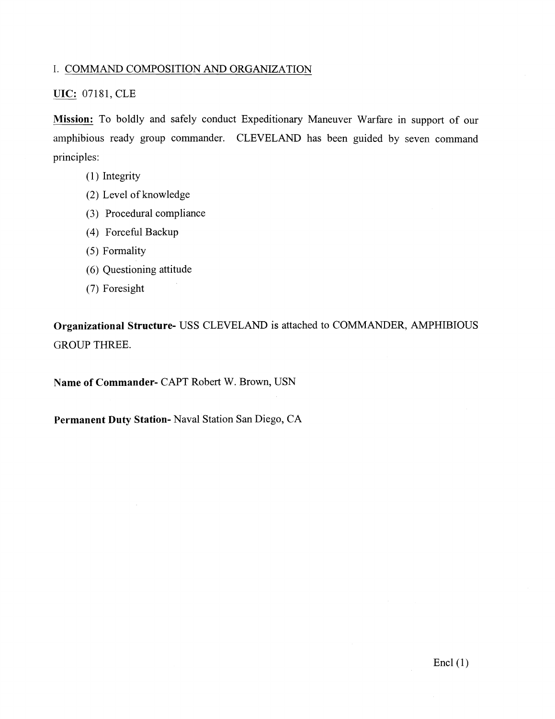### I. COMMAND COMPOSITION AND ORGANIZATION

### **UIC:** 07181, CLE

**Mission:** To boldly and safely conduct Expeditionary Maneuver Warfare in support of our amphibious ready group commander. CLEVELAND has been guided by seven command principles:

- (1) Integrity
- (2) Level of knowledge
- (3) Procedural compliance
- (4) Forceful Backup
- (5) Formality
- *(6)* Questioning attitude
- (7) Foresight

**Organizational Structure-** USS CLEVELAND is attached to COMMANDER, AMPHIBIOUS GROUP THREE.

**Name of Commander-** CAPT Robert W. Brown, USN

**Permanent Duty Station-** Naval Station San Diego, CA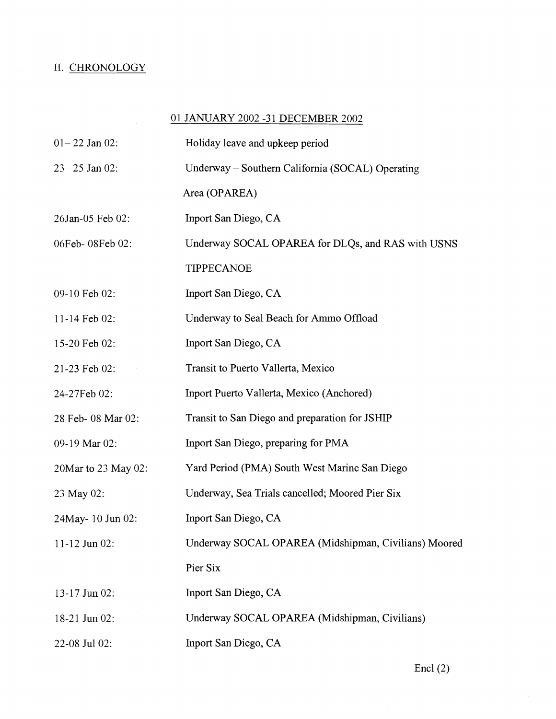# II. CHRONOLOGY

 $\mathcal{L}^{\mathcal{L}}$ 

## 01 JANUARY 2002 -31 DECEMBER 2002

| $01 - 22$ Jan 02:   | Holiday leave and upkeep period                      |
|---------------------|------------------------------------------------------|
| $23 - 25$ Jan 02:   | Underway – Southern California (SOCAL) Operating     |
|                     | Area (OPAREA)                                        |
| 26Jan-05 Feb 02:    | Inport San Diego, CA                                 |
| 06Feb-08Feb02:      | Underway SOCAL OPAREA for DLQs, and RAS with USNS    |
|                     | <b>TIPPECANOE</b>                                    |
| 09-10 Feb 02:       | Inport San Diego, CA                                 |
| 11-14 Feb 02:       | Underway to Seal Beach for Ammo Offload              |
| 15-20 Feb 02:       | Inport San Diego, CA                                 |
| 21-23 Feb 02:       | Transit to Puerto Vallerta, Mexico                   |
| 24-27Feb 02:        | Inport Puerto Vallerta, Mexico (Anchored)            |
| 28 Feb- 08 Mar 02:  | Transit to San Diego and preparation for JSHIP       |
| 09-19 Mar 02:       | Inport San Diego, preparing for PMA                  |
| 20Mar to 23 May 02: | Yard Period (PMA) South West Marine San Diego        |
| 23 May 02:          | Underway, Sea Trials cancelled; Moored Pier Six      |
| 24May-10 Jun 02:    | Inport San Diego, CA                                 |
| 11-12 Jun 02:       | Underway SOCAL OPAREA (Midshipman, Civilians) Moored |
|                     | Pier Six                                             |
| 13-17 Jun 02:       | Inport San Diego, CA                                 |
| 18-21 Jun 02:       | Underway SOCAL OPAREA (Midshipman, Civilians)        |
| 22-08 Jul 02:       | Inport San Diego, CA                                 |

Encl  $(2)$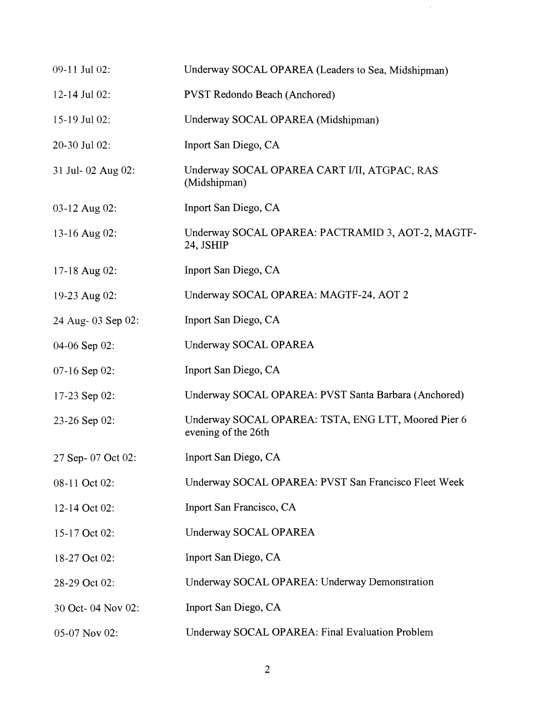| 09-11 Jul 02:      | Underway SOCAL OPAREA (Leaders to Sea, Midshipman)                         |
|--------------------|----------------------------------------------------------------------------|
| 12-14 Jul 02:      | <b>PVST Redondo Beach (Anchored)</b>                                       |
| $15-19$ Jul 02:    | Underway SOCAL OPAREA (Midshipman)                                         |
| 20-30 Jul 02:      | Inport San Diego, CA                                                       |
| 31 Jul- 02 Aug 02: | Underway SOCAL OPAREA CART I/II, ATGPAC, RAS<br>(Midshipman)               |
| 03-12 Aug 02:      | Inport San Diego, CA                                                       |
| 13-16 Aug 02:      | Underway SOCAL OPAREA: PACTRAMID 3, AOT-2, MAGTF-<br>24, JSHIP             |
| 17-18 Aug 02:      | Inport San Diego, CA                                                       |
| 19-23 Aug 02:      | Underway SOCAL OPAREA: MAGTF-24, AOT 2                                     |
| 24 Aug- 03 Sep 02: | Inport San Diego, CA                                                       |
| 04-06 Sep 02:      | Underway SOCAL OPAREA                                                      |
| 07-16 Sep 02:      | Inport San Diego, CA                                                       |
| 17-23 Sep $02$ :   | Underway SOCAL OPAREA: PVST Santa Barbara (Anchored)                       |
| 23-26 Sep 02:      | Underway SOCAL OPAREA: TSTA, ENG LTT, Moored Pier 6<br>evening of the 26th |
| 27 Sep- 07 Oct 02: | Inport San Diego, CA                                                       |
| 08-11 Oct 02:      | Underway SOCAL OPAREA: PVST San Francisco Fleet Week                       |
| 12-14 Oct 02:      | Inport San Francisco, CA                                                   |
| 15-17 Oct 02:      | Underway SOCAL OPAREA                                                      |
| 18-27 Oct 02:      | Inport San Diego, CA                                                       |
| 28-29 Oct 02:      | Underway SOCAL OPAREA: Underway Demonstration                              |
| 30 Oct- 04 Nov 02: | Inport San Diego, CA                                                       |
| 05-07 Nov 02:      | Underway SOCAL OPAREA: Final Evaluation Problem                            |

 $\ddot{\phantom{0}}$ 

 $\overline{c}$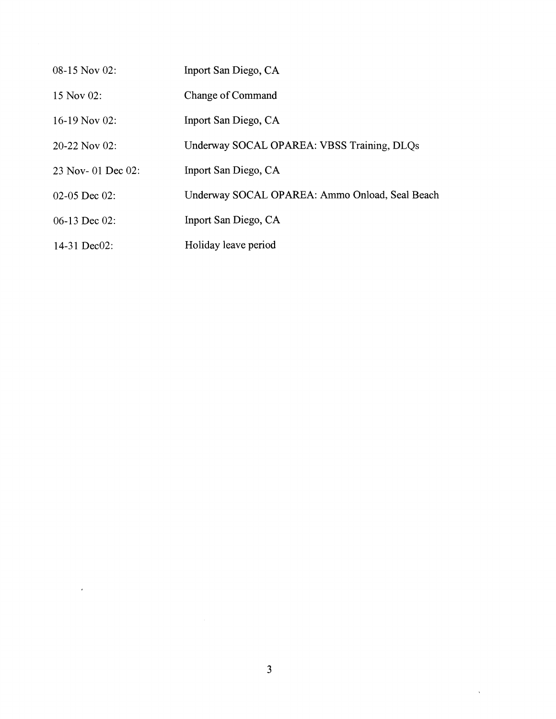| 08-15 Nov 02:         | Inport San Diego, CA                           |
|-----------------------|------------------------------------------------|
| 15 Nov 02:            | <b>Change of Command</b>                       |
| 16-19 Nov 02:         | Inport San Diego, CA                           |
| $20-22$ Nov 02:       | Underway SOCAL OPAREA: VBSS Training, DLOs     |
| 23 Nov- 01 Dec $02$ : | Inport San Diego, CA                           |
| $02-05$ Dec $02$ :    | Underway SOCAL OPAREA: Ammo Onload, Seal Beach |
| $06-13$ Dec 02:       | Inport San Diego, CA                           |
| 14-31 Dec02:          | Holiday leave period                           |

 $\hat{\mathbf{v}}$ 

 $\mathcal{L}^{\text{max}}_{\text{max}}$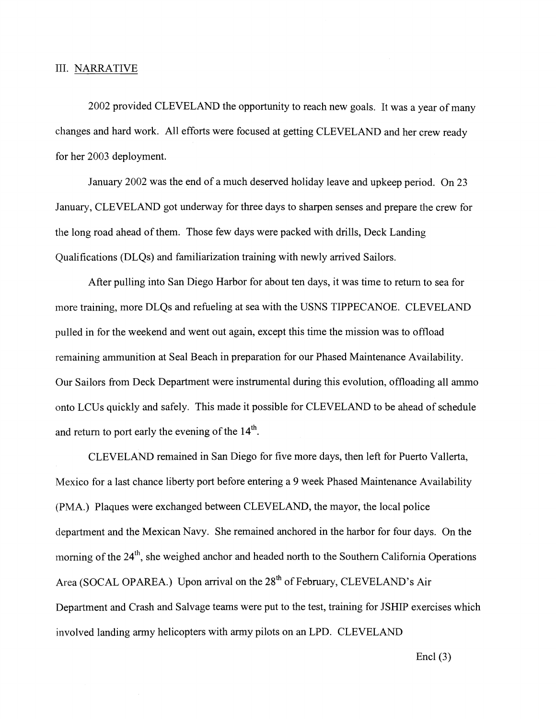### 111. NARRATIVE

2002 provided CLEVELAND the opportunity to reach new goals. It was a year of many changes and hard work. All efforts were focused at getting CLEVELAND and her crew ready for her 2003 deployment.

January 2002 was the end of a much deserved holiday leave and upkeep period. On 23 January, CLEVELAND got underway for three days to sharpen senses and prepare the crew for the long road ahead of them. Those few days were packed with drills, Deck Landing Qualifications (DLQs) and familiarization training with newly arrived Sailors.

After pulling into San Diego Harbor for about ten days, it was time to return to sea for more training, more DLQs and refueling at sea with the USNS TIPPECANOE. CLEVELAND pulled in for the weekend and went out again, except this time the mission was to offload remaining ammunition at Seal Beach in preparation for our Phased Maintenance Availability. Our Sailors from Deck Department were instrumental during this evolution, offloading all ammo onto LCUs quickly and safely. This made it possible for CLEVELAND to be ahead of schedule and return to port early the evening of the  $14<sup>th</sup>$ .

CLEVELAND remained in San Diego for five more days, then left for Puerto Vallerta, Mexico for a last chance liberty port before entering a 9 week Phased Maintenance Availability (PMA.) Plaques were exchanged between CLEVELAND, the mayor, the local police department and the Mexican Navy. She remained anchored in the harbor for four days. On the morning of the  $24<sup>th</sup>$ , she weighed anchor and headed north to the Southern California Operations Area (SOCAL OPAREA.) Upon arrival on the 28<sup>th</sup> of February, CLEVELAND's Air Department and Crash and Salvage teams were put to the test, training for JSHIP exercises which involved landing army helicopters with army pilots on an LPD. CLEVELAND

Encl $(3)$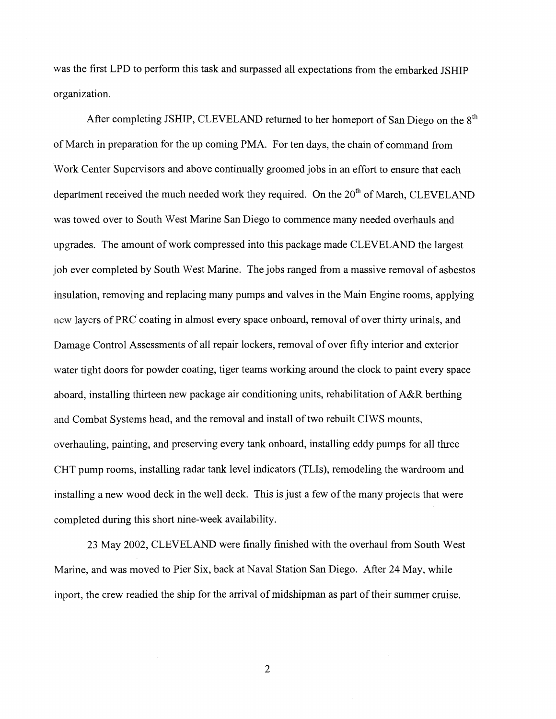was the first LPD to perform this task and surpassed all expectations from the embarked JSHIP organization.

After completing JSHIP, CLEVELAND returned to her homeport of San Diego on the 8<sup>th</sup> of March in preparation for the up coming PMA. For ten days, the chain of command from Work Center Supervisors and above continually groomed jobs in an effort to ensure that each department received the much needed work they required. On the  $20<sup>th</sup>$  of March, CLEVELAND was towed over to South West Marine San Diego to commence many needed overhauls and upgrades. The amount of work compressed into this package made CLEVELAND the largest job ever completed by South West Marine. The jobs ranged from a massive removal of asbestos insulation, removing and replacing many pumps and valves in the Main Engine rooms, applying new layers of PRC coating in almost every space onboard, removal of over thirty urinals, and Damage Control Assessments of all repair lockers, removal of over fifty interior and exterior water tight doors for powder coating, tiger teams working around the clock to paint every space aboard, installing thirteen new package air conditioning units, rehabilitation of A&R berthing and Combat Systems head, and the removal and install of two rebuilt CIWS mounts, overhauling, painting, and preserving every tank onboard, installing eddy pumps for all three CHT pump rooms, installing radar tank level indicators (TLIs), remodeling the wardroom and installing a new wood deck in the well deck. This is just a few of the many projects that were completed during this short nine-week availability.

23 May 2002, CLEVELAND were finally finished with the overhaul from South West Marine. and was moved to Pier Six, back at Naval Station San Diego. After 24 May, while inport, the crew readied the ship for the arrival of midshipman as part of their summer cruise.

 $\overline{2}$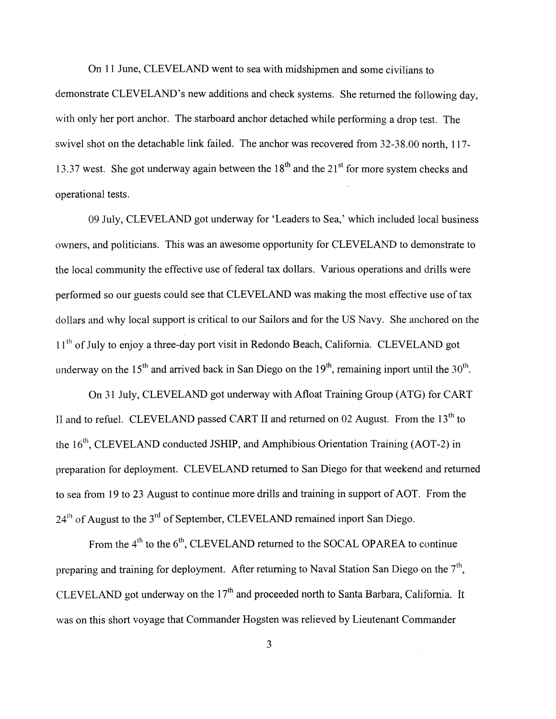On 11 June, CLEVELAND went to sea with midshipmen and some civilians to demonstrate CLEVELAND'S new additions and check systems. She returned the following day, with only her port anchor. The starboard anchor detached while performing a drop test. The swivel shot on the detachable link failed. The anchor was recovered from 32-38.00 north, 117-13.37 west. She got underway again between the  $18<sup>th</sup>$  and the  $21<sup>st</sup>$  for more system checks and operational tests.

09 July, CLEVELAND got underway for 'Leaders to Sea,' which included local business owners, and politicians. This was an awesome opportunity for CLEVELAND to demonstrate to the local community the effective use of federal tax dollars. Various operations and drills were perfonned so our guests could see that CLEVELAND was making the most effective use of tax dollars and why local support is critical to our Sailors and for the US Navy. She anchored on the 11<sup>th</sup> of July to enjoy a three-day port visit in Redondo Beach, California. CLEVELAND got underway on the 15<sup>th</sup> and arrived back in San Diego on the 19<sup>th</sup>, remaining inport until the 30<sup>th</sup>.

On 31 July, CLEVELAND got underway with Afloat Training Group (ATG) for CART II and to refuel. CLEVELAND passed CART II and returned on 02 August. From the  $13<sup>th</sup>$  to the 16"', CLEVELAND conducted JSHIP, and Amphibious Orientation Training (AOT-2) in preparation for deployment. CLEVELAND returned to San Diego for that weekend and returned to sea from 19 to 23 August to continue more drills and training in support of AOT. From the  $24<sup>th</sup>$  of August to the  $3<sup>rd</sup>$  of September, CLEVELAND remained inport San Diego.

From the  $4<sup>th</sup>$  to the  $6<sup>th</sup>$ , CLEVELAND returned to the SOCAL OPAREA to continue preparing and training for deployment. After returning to Naval Station San Diego on the  $7<sup>th</sup>$ , CLEVELAND got underway on the  $17<sup>th</sup>$  and proceeded north to Santa Barbara, California. It was on this short voyage that Commander Hogsten was relieved by Lieutenant Commander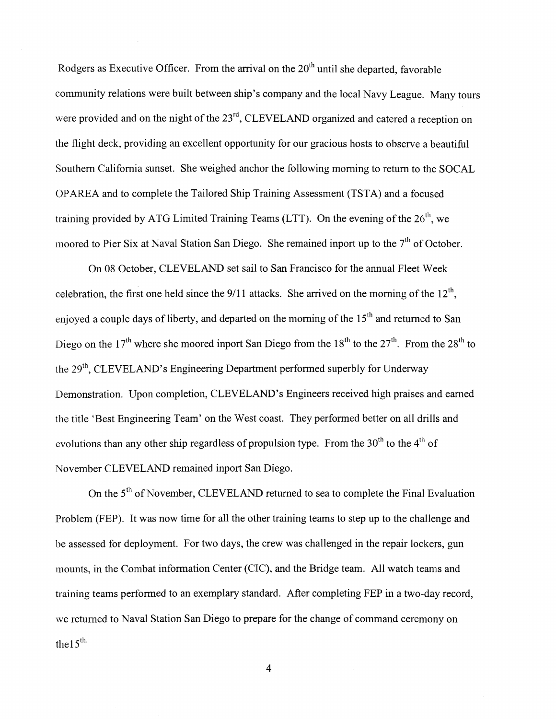Rodgers as Executive Officer. From the arrival on the  $20<sup>th</sup>$  until she departed, favorable community relations were built between ship's company and the local Navy League. Many tours were provided and on the night of the 23<sup>rd</sup>, CLEVELAND organized and catered a reception on the flight deck, providing an excellent opportunity for our gracious hosts to observe a beautiful Southern California sunset. She weighed anchor the following morning to return to the SOCAL OPAREA and to complete the Tailored Ship Training Assessment (TSTA) and a focused training provided by ATG Limited Training Teams (LTT). On the evening of the  $26<sup>th</sup>$ , we moored to Pier Six at Naval Station San Diego. She remained inport up to the  $7<sup>th</sup>$  of October.

On 08 October, CLEVELAND set sail to San Francisco for the annual Fleet Week celebration, the first one held since the  $9/11$  attacks. She arrived on the morning of the  $12<sup>th</sup>$ , enjoved a couple days of liberty, and departed on the morning of the 15<sup>th</sup> and returned to San Diego on the 17<sup>th</sup> where she moored inport San Diego from the 18<sup>th</sup> to the 27<sup>th</sup>. From the 28<sup>th</sup> to the 29<sup>th</sup>, CLEVELAND's Engineering Department performed superbly for Underway Demonstration. Upon completion, CLEVELAND'S Engineers received high praises and earned the title 'Best Engineering Team' on the West coast. They performed better on all drills and evolutions than any other ship regardless of propulsion type. From the  $30<sup>th</sup>$  to the  $4<sup>th</sup>$  of November CLEVELAND remained inport San Diego.

On the 5<sup>th</sup> of November, CLEVELAND returned to sea to complete the Final Evaluation Problem (FEP). It was now time for all the other training teams to step up to the challenge and be assessed for deployment. For two days, the crew was challenged in the repair lockers, gun mounts, in the Combat information Center (CIC), and the Bridge team. All watch teams and training teams performed to an exemplary standard. After completing FEP in a two-day record, we returned to Naval Station San Diego to prepare for the change of command ceremony on the  $15$ <sup>th.</sup>

**4**